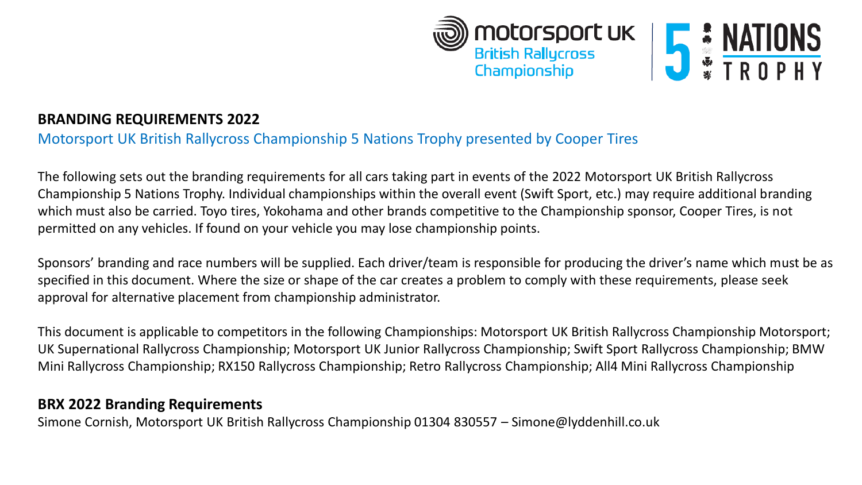



# **BRANDING REQUIREMENTS 2022**

# Motorsport UK British Rallycross Championship 5 Nations Trophy presented by Cooper Tires

The following sets out the branding requirements for all cars taking part in events of the 2022 Motorsport UK British Rallycross Championship 5 Nations Trophy. Individual championships within the overall event (Swift Sport, etc.) may require additional branding which must also be carried. Toyo tires, Yokohama and other brands competitive to the Championship sponsor, Cooper Tires, is not permitted on any vehicles. If found on your vehicle you may lose championship points.

Sponsors' branding and race numbers will be supplied. Each driver/team is responsible for producing the driver's name which must be as specified in this document. Where the size or shape of the car creates a problem to comply with these requirements, please seek approval for alternative placement from championship administrator.

This document is applicable to competitors in the following Championships: Motorsport UK British Rallycross Championship Motorsport; UK Supernational Rallycross Championship; Motorsport UK Junior Rallycross Championship; Swift Sport Rallycross Championship; BMW Mini Rallycross Championship; RX150 Rallycross Championship; Retro Rallycross Championship; All4 Mini Rallycross Championship

## **BRX 2022 Branding Requirements**

Simone Cornish, Motorsport UK British Rallycross Championship 01304 830557 – Simone@lyddenhill.co.uk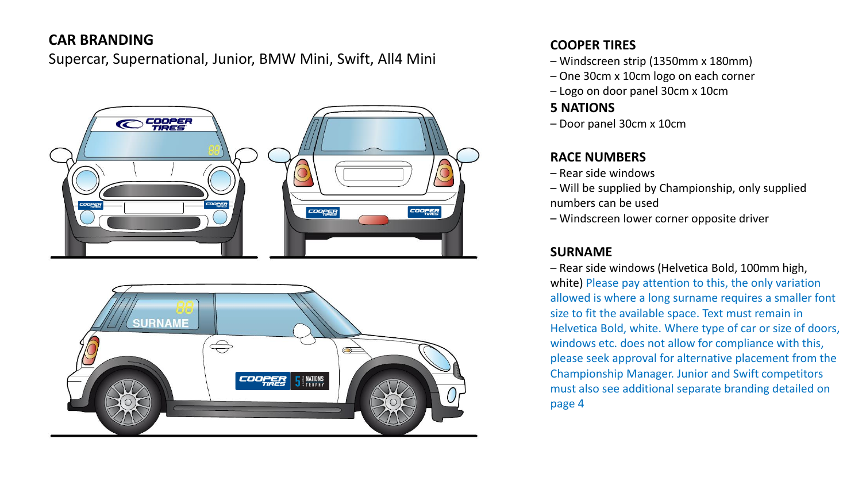# **CAR BRANDING**

Supercar, Supernational, Junior, BMW Mini, Swift, All4 Mini





### **COOPER TIRES**

- Windscreen strip (1350mm x 180mm)
- One 30cm x 10cm logo on each corner
- Logo on door panel 30cm x 10cm

## **5 NATIONS**

– Door panel 30cm x 10cm

## **RACE NUMBERS**

- Rear side windows
- Will be supplied by Championship, only supplied numbers can be used
- Windscreen lower corner opposite driver

## **SURNAME**

– Rear side windows (Helvetica Bold, 100mm high, white) Please pay attention to this, the only variation allowed is where a long surname requires a smaller font size to fit the available space. Text must remain in Helvetica Bold, white. Where type of car or size of doors, windows etc. does not allow for compliance with this, please seek approval for alternative placement from the Championship Manager. Junior and Swift competitors must also see additional separate branding detailed on page 4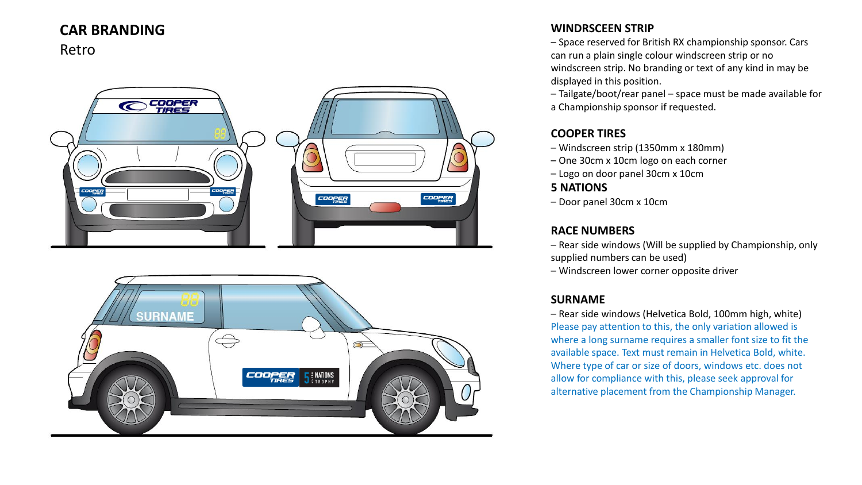# **CAR BRANDING**

Retro





### **WINDRSCEEN STRIP**

– Space reserved for British RX championship sponsor. Cars can run a plain single colour windscreen strip or no windscreen strip. No branding or text of any kind in may be displayed in this position.

– Tailgate/boot/rear panel – space must be made available for a Championship sponsor if requested.

#### **COOPER TIRES**

- Windscreen strip (1350mm x 180mm)
- One 30cm x 10cm logo on each corner
- Logo on door panel 30cm x 10cm

### **5 NATIONS**

– Door panel 30cm x 10cm

#### **RACE NUMBERS**

– Rear side windows (Will be supplied by Championship, only supplied numbers can be used)

– Windscreen lower corner opposite driver

### **SURNAME**

– Rear side windows (Helvetica Bold, 100mm high, white) Please pay attention to this, the only variation allowed is where a long surname requires a smaller font size to fit the available space. Text must remain in Helvetica Bold, white. Where type of car or size of doors, windows etc. does not allow for compliance with this, please seek approval for alternative placement from the Championship Manager.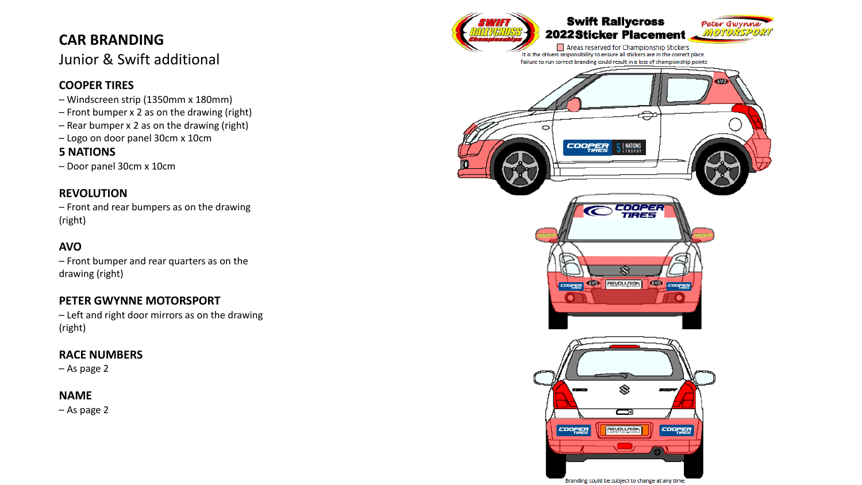# **CAR BRANDING**

# Junior & Swift additional

### **COOPER TIRES**

- Windscreen strip (1350mm x 180mm)
- Front bumper x 2 as on the drawing (right)
- Rear bumper x 2 as on the drawing (right)
- Logo on door panel 30cm x 10cm

### **5 NATIONS**

– Door panel 30cm x 10cm

### **REVOLUTION**

– Front and rear bumpers as on the drawing (right)

### **AVO**

– Front bumper and rear quarters as on the drawing (right)

### **PETER GWYNNE MOTORSPORT**

– Left and right door mirrors as on the drawing (right)

### **RACE NUMBERS**

– As page 2

### **NAME**

– As page 2

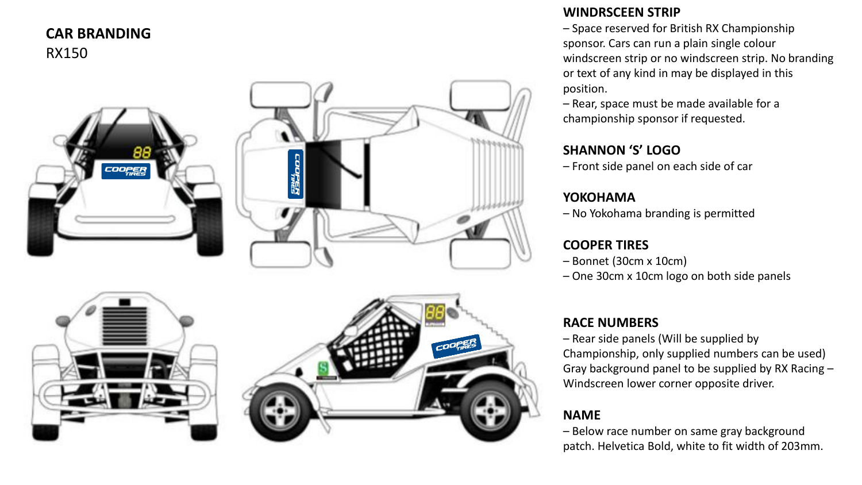## **CAR BRANDING** RX150



## **WINDRSCEEN STRIP**

– Space reserved for British RX Championship sponsor. Cars can run a plain single colour windscreen strip or no windscreen strip. No branding or text of any kind in may be displayed in this position.

– Rear, space must be made available for a championship sponsor if requested.

### **SHANNON 'S' LOGO**

– Front side panel on each side of car

## **YOKOHAMA**

– No Yokohama branding is permitted

## **COOPER TIRES**

- Bonnet (30cm x 10cm)
- One 30cm x 10cm logo on both side panels

## **RACE NUMBERS**

– Rear side panels (Will be supplied by Championship, only supplied numbers can be used) Gray background panel to be supplied by RX Racing – Windscreen lower corner opposite driver.

# **NAME**

– Below race number on same gray background patch. Helvetica Bold, white to fit width of 203mm.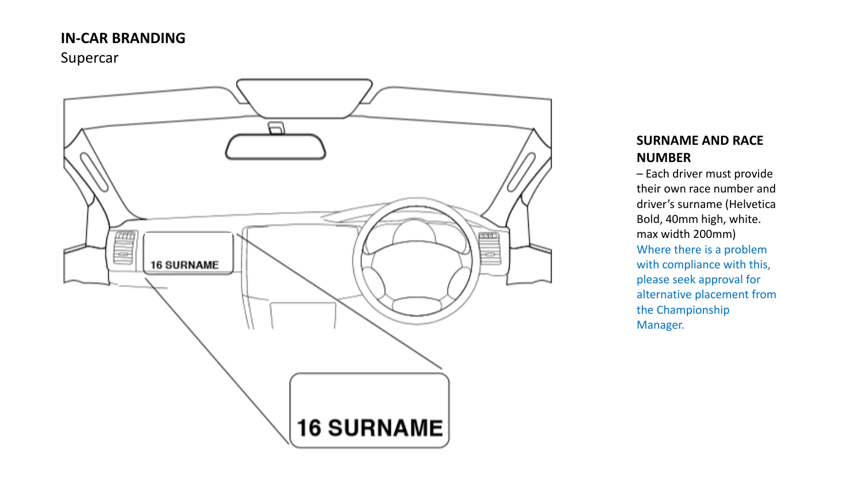# **IN -CAR BRANDING**

Supercar



## **SURNAME AND RACE NUMBER**

– Each driver must provide their own race number and driver's surname (Helvetica Bold, 40mm high, white. max width 200mm) Where there is a problem with compliance with this, please seek approval for alternative placement from the Championship Manager.